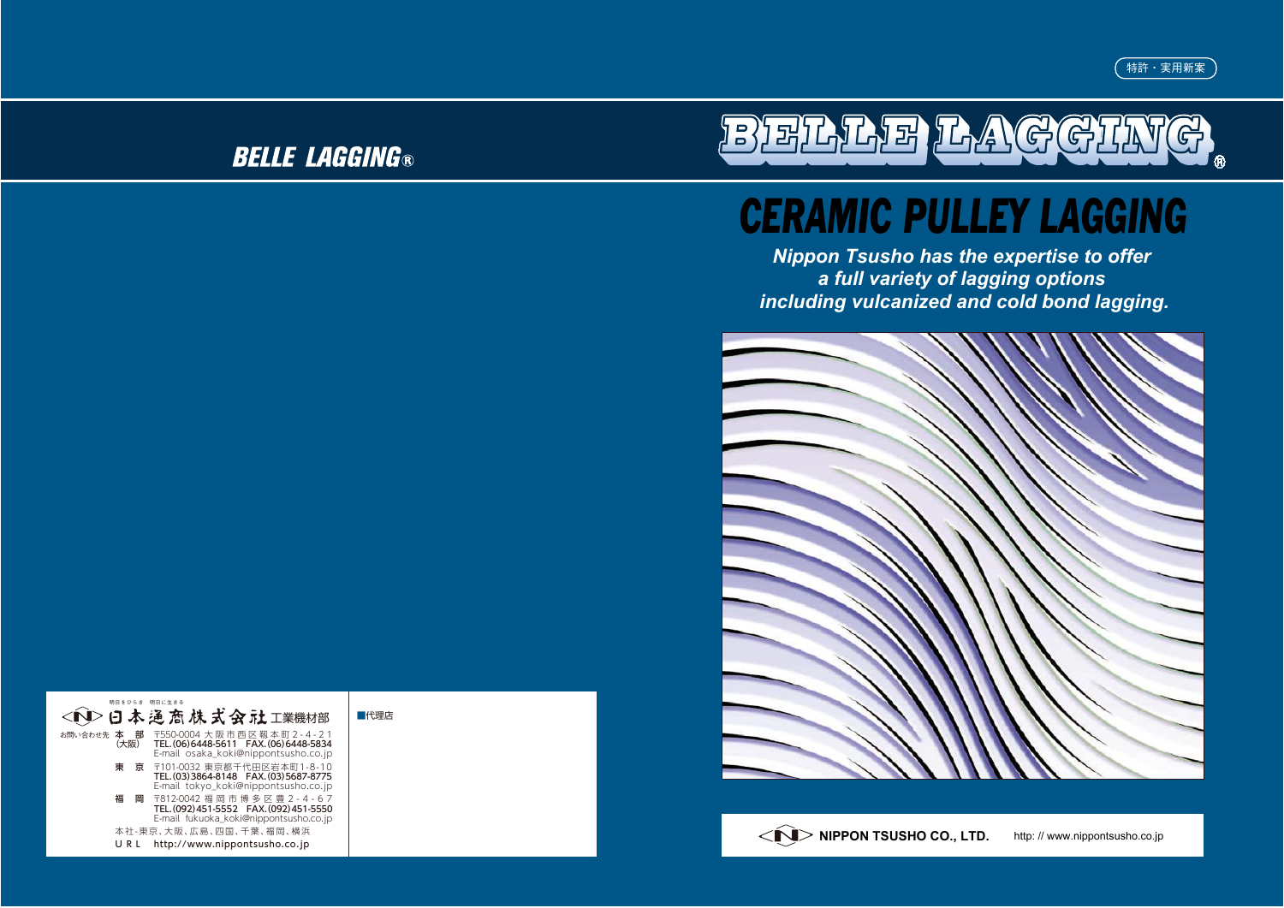# **BELLE LAGGING®**



# *CERAMIC PULLEY LAGGING*

*Nippon Tsusho has the expertise to offer a full variety of lagging options including vulcanized and cold bond lagging.*



| 明日をひらき 明日に生きる             | < 1> 日本通商株式会社工業機材部                                                                                                 | ■代理店 |
|---------------------------|--------------------------------------------------------------------------------------------------------------------|------|
| 部<br>お問い合わせ先<br>本<br>(大阪) | 〒550-0004 大阪市西区靱本町2-4-21<br>TEL. (06) 6448-5611  FAX. (06) 6448-5834<br>E-mail osaka koki@nippontsusho.co.jp       |      |
| 東                         | 京 〒101-0032 東京都千代田区岩本町1-8-10<br>TEL. (03) 3864-8148   FAX. (03) 5687-8775<br>E-mail tokyo koki@nippontsusho.co.jp  |      |
| 福<br>岡                    | 〒812-0042 福岡市博多区豊2 - 4 - 6 7<br>TEL. (092) 451-5552  FAX. (092) 451-5550<br>E-mail fukuoka_koki@nippontsusho.co.jp |      |
| 本社-東京、大阪、広島、四国、千葉、福岡、横浜   |                                                                                                                    |      |
| URL                       | http://www.nippontsusho.co.jp                                                                                      |      |